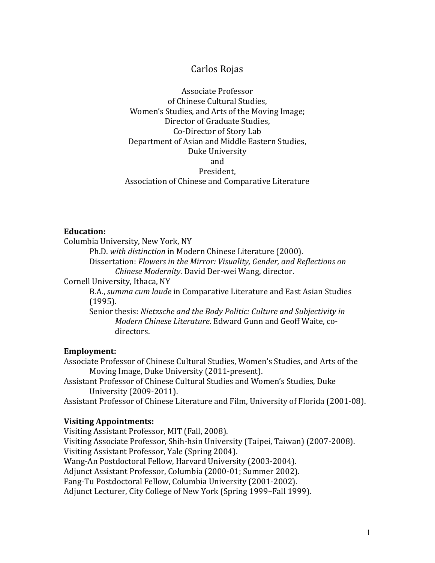## Carlos Rojas

Associate Professor of Chinese Cultural Studies, Women's Studies, and Arts of the Moving Image; Director of Graduate Studies, Co-Director of Story Lab Department of Asian and Middle Eastern Studies, Duke University and President, Association of Chinese and Comparative Literature

#### **Education:**

Columbia University, New York, NY

Ph.D. with distinction in Modern Chinese Literature (2000).

Dissertation: *Flowers in the Mirror: Visuality, Gender, and Reflections on Chinese Modernity*. David Der-wei Wang, director.

Cornell University, Ithaca, NY

B.A., *summa cum laude* in Comparative Literature and East Asian Studies (1995).

Senior thesis: *Nietzsche and the Body Politic: Culture and Subjectivity in Modern Chinese Literature*. Edward Gunn and Geoff Waite. codirectors.

#### **Employment:**

Associate Professor of Chinese Cultural Studies, Women's Studies, and Arts of the Moving Image, Duke University (2011-present).

Assistant Professor of Chinese Cultural Studies and Women's Studies, Duke University (2009-2011).

Assistant Professor of Chinese Literature and Film, University of Florida (2001-08).

#### **Visiting Appointments:**

Visiting Assistant Professor, MIT (Fall, 2008). Visiting Associate Professor, Shih-hsin University (Taipei, Taiwan) (2007-2008). Visiting Assistant Professor, Yale (Spring 2004). Wang-An Postdoctoral Fellow, Harvard University (2003-2004). Adjunct Assistant Professor, Columbia (2000-01; Summer 2002). Fang-Tu Postdoctoral Fellow, Columbia University (2001-2002). Adjunct Lecturer, City College of New York (Spring 1999–Fall 1999).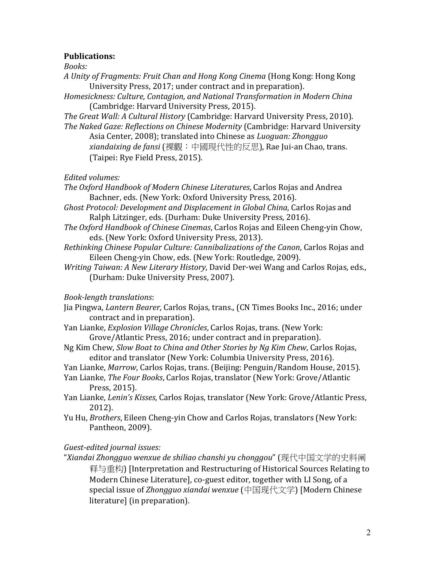#### **Publications:**

*Books:* 

*A Unity of Fragments: Fruit Chan and Hong Kong Cinema* (Hong Kong: Hong Kong University Press, 2017; under contract and in preparation).

*Homesickness: Culture, Contagion, and National Transformation in Modern China*  (Cambridge: Harvard University Press, 2015).

*The Great Wall: A Cultural History* (Cambridge: Harvard University Press, 2010). *The Naked Gaze: Reflections on Chinese Modernity* (Cambridge: Harvard University

Asia Center, 2008); translated into Chinese as *Luoguan: Zhongguo xiandaixing de fansi* (裸觀:中國現代性的反思), Rae Jui-an Chao, trans. (Taipei: Rye Field Press, 2015).

*Edited volumes:*

*The Oxford Handbook of Modern Chinese Literatures*, Carlos Rojas and Andrea Bachner, eds. (New York: Oxford University Press, 2016).

- *Ghost Protocol: Development and Displacement in Global China, Carlos Rojas and* Ralph Litzinger, eds. (Durham: Duke University Press, 2016).
- *The Oxford Handbook of Chinese Cinemas*, Carlos Rojas and Eileen Cheng-yin Chow, eds. (New York: Oxford University Press, 2013).
- *Rethinking Chinese Popular Culture: Cannibalizations of the Canon, Carlos Rojas and* Eileen Cheng-yin Chow, eds. (New York: Routledge, 2009).
- *Writing Taiwan: A New Literary History*, David Der-wei Wang and Carlos Rojas, eds., (Durham: Duke University Press, 2007).

*Book-length translations*: 

- Jia Pingwa, *Lantern Bearer*, Carlos Rojas, trans., (CN Times Books Inc., 2016; under contract and in preparation).
- Yan Lianke, *Explosion Village Chronicles*, Carlos Rojas, trans. (New York: Grove/Atlantic Press, 2016; under contract and in preparation).
- Ng Kim Chew, *Slow Boat to China and Other Stories by Ng Kim Chew*, Carlos Rojas, editor and translator (New York: Columbia University Press, 2016).
- Yan Lianke, *Marrow*, Carlos Rojas, trans. (Beijing: Penguin/Random House, 2015).
- Yan Lianke, *The Four Books*, Carlos Rojas, translator (New York: Grove/Atlantic Press, 2015).
- Yan Lianke, *Lenin's Kisses*, Carlos Rojas, translator (New York: Grove/Atlantic Press, 2012).
- Yu Hu, *Brothers*, Eileen Cheng-yin Chow and Carlos Rojas, translators (New York: Pantheon, 2009).

*Guest-edited journal issues:*

"*Xiandai Zhongguo wenxue de shiliao chanshi yu chonggou*" (现代中国文学的史料阐 释与重构) [Interpretation and Restructuring of Historical Sources Relating to Modern Chinese Literature], co-guest editor, together with LI Song, of a special issue of *Zhongguo xiandai* wenxue (中国现代文学) [Modern Chinese literature] (in preparation).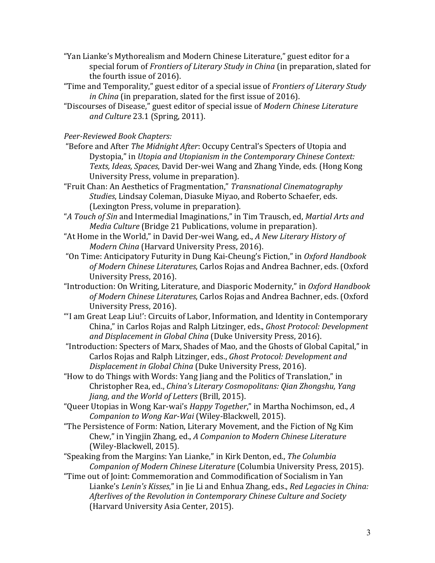- "Yan Lianke's Mythorealism and Modern Chinese Literature," guest editor for a special forum of *Frontiers of Literary Study in China* (in preparation, slated for the fourth issue of  $2016$ ).
- "Time and Temporality," guest editor of a special issue of *Frontiers of Literary Study in China* (in preparation, slated for the first issue of 2016).
- "Discourses of Disease," guest editor of special issue of *Modern Chinese Literature and Culture* 23.1 (Spring, 2011).

### *Peer-Reviewed Book Chapters:*

- "Before and After *The Midnight After*: Occupy Central's Specters of Utopia and Dystopia," in *Utopia and Utopianism in the Contemporary Chinese Context:* Texts, *Ideas, Spaces*, David Der-wei Wang and Zhang Yinde, eds. (Hong Kong University Press, volume in preparation).
- "Fruit Chan: An Aesthetics of Fragmentation," *Transnational Cinematography Studies*, Lindsay Coleman, Diasuke Miyao, and Roberto Schaefer, eds. (Lexington Press, volume in preparation).
- "*A Touch of Sin* and Intermedial Imaginations," in Tim Trausch, ed, *Martial Arts and Media Culture* (Bridge 21 Publications, volume in preparation).
- "At Home in the World," in David Der-wei Wang, ed., *A New Literary History of Modern China* (Harvard University Press, 2016).
- "On Time: Anticipatory Futurity in Dung Kai-Cheung's Fiction," in Oxford Handbook of Modern Chinese Literatures, Carlos Rojas and Andrea Bachner, eds. (Oxford University Press, 2016).
- "Introduction: On Writing, Literature, and Diasporic Modernity," in *Oxford Handbook* of Modern Chinese Literatures, Carlos Rojas and Andrea Bachner, eds. (Oxford University Press, 2016).
- "'I am Great Leap Liu!': Circuits of Labor, Information, and Identity in Contemporary China," in Carlos Rojas and Ralph Litzinger, eds., *Ghost Protocol: Development* and Displacement in Global China (Duke University Press, 2016).
- "Introduction: Specters of Marx, Shades of Mao, and the Ghosts of Global Capital," in Carlos Rojas and Ralph Litzinger, eds., *Ghost Protocol: Development and Displacement in Global China* (Duke University Press, 2016).
- "How to do Things with Words: Yang Jiang and the Politics of Translation," in Christopher Rea, ed., *China's Literary Cosmopolitans: Qian Zhongshu, Yang Jiang, and the World of Letters* (Brill, 2015).
- "Queer Utopias in Wong Kar-wai's *Happy Together*," in Martha Nochimson, ed., *A Companion to Wong Kar-Wai* (Wiley-Blackwell, 2015).
- "The Persistence of Form: Nation, Literary Movement, and the Fiction of Ng Kim Chew," in Yingjin Zhang, ed., *A Companion to Modern Chinese Literature* (Wiley-Blackwell, 2015).
- "Speaking from the Margins: Yan Lianke," in Kirk Denton, ed., *The Columbia Companion of Modern Chinese Literature* (Columbia University Press, 2015).
- "Time out of Joint: Commemoration and Commodification of Socialism in Yan Lianke's *Lenin's Kisses*," in Jie Li and Enhua Zhang, eds., *Red Legacies in China:* Afterlives of the Revolution in Contemporary Chinese Culture and Society (Harvard University Asia Center, 2015).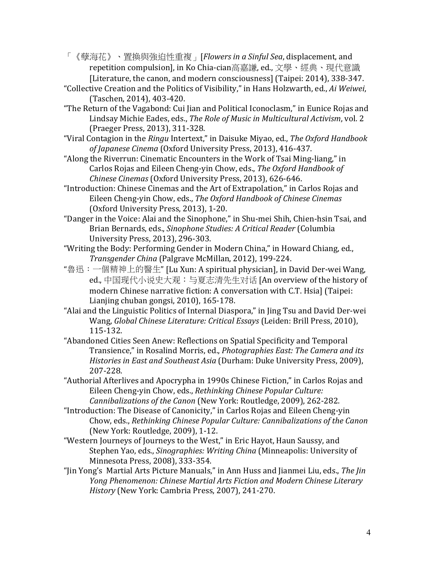「《孽海花》、置換與強迫性重複」[Flowers in a Sinful Sea, displacement, and repetition compulsion], in Ko Chia-cian高嘉謙, ed., 文學、經典、現代意識 [Literature, the canon, and modern consciousness] (Taipei: 2014), 338-347.

- "Collective Creation and the Politics of Visibility," in Hans Holzwarth, ed., Ai Weiwei, (Taschen, 2014), 403-420.
- "The Return of the Vagabond: Cui Jian and Political Iconoclasm," in Eunice Rojas and Lindsay Michie Eades, eds., *The Role of Music in Multicultural Activism*, vol. 2 (Praeger Press, 2013), 311-328.
- "Viral Contagion in the *Ringu* Intertext," in Daisuke Miyao, ed., *The Oxford Handbook* of Japanese Cinema (Oxford University Press, 2013), 416-437.
- "Along the Riverrun: Cinematic Encounters in the Work of Tsai Ming-liang," in Carlos Rojas and Eileen Cheng-yin Chow, eds., *The Oxford Handbook of Chinese Cinemas* (Oxford University Press, 2013), 626-646.
- "Introduction: Chinese Cinemas and the Art of Extrapolation," in Carlos Rojas and Eileen Cheng-yin Chow, eds., *The Oxford Handbook of Chinese Cinemas* (Oxford University Press, 2013), 1-20.
- "Danger in the Voice: Alai and the Sinophone," in Shu-mei Shih, Chien-hsin Tsai, and Brian Bernards, eds., *Sinophone Studies: A Critical Reader* (Columbia University Press, 2013), 296-303.
- "Writing the Body: Performing Gender in Modern China," in Howard Chiang, ed., *Transgender China* (Palgrave McMillan, 2012), 199-224.
- "魯迅: 一個精神上的醫生" [Lu Xun: A spiritual physician], in David Der-wei Wang, ed., 中国现代小说史大观: 与夏志清先生对话 [An overview of the history of modern Chinese narrative fiction: A conversation with C.T. Hsia] (Taipei: Lianjing chuban gongsi,  $2010$ ),  $165-178$ .
- "Alai and the Linguistic Politics of Internal Diaspora," in Jing Tsu and David Der-wei Wang, *Global Chinese Literature: Critical Essays* (Leiden: Brill Press, 2010), 115-132.
- "Abandoned Cities Seen Anew: Reflections on Spatial Specificity and Temporal Transience," in Rosalind Morris, ed., *Photographies East: The Camera and its Histories in East and Southeast Asia* (Durham: Duke University Press, 2009), 207-228.
- "Authorial Afterlives and Apocrypha in 1990s Chinese Fiction," in Carlos Rojas and Eileen Cheng-yin Chow, eds., *Rethinking Chinese Popular Culture: Cannibalizations of the Canon* (New York: Routledge, 2009), 262-282.
- "Introduction: The Disease of Canonicity," in Carlos Rojas and Eileen Cheng-yin Chow, eds., *Rethinking Chinese Popular Culture: Cannibalizations of the Canon* (New York: Routledge, 2009), 1-12.
- "Western Journeys of Journeys to the West," in Eric Hayot, Haun Saussy, and Stephen Yao, eds., *Sinographies: Writing China* (Minneapolis: University of Minnesota Press, 2008), 333-354.
- "Iin Yong's Martial Arts Picture Manuals," in Ann Huss and Jianmei Liu, eds., The Jin *Yong Phenomenon: Chinese Martial Arts Fiction and Modern Chinese Literary History* (New York: Cambria Press, 2007), 241-270.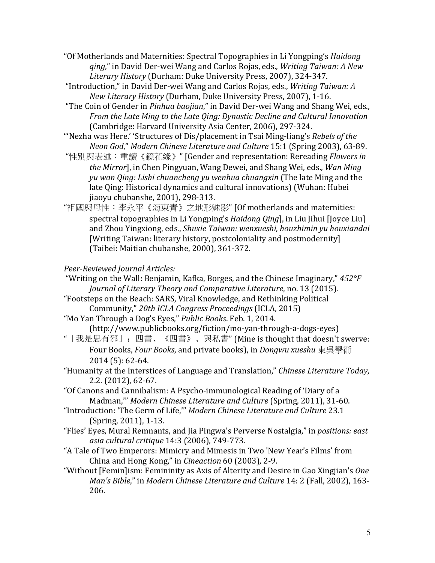"Of Motherlands and Maternities: Spectral Topographies in Li Yongping's *Haidong ging*," in David Der-wei Wang and Carlos Rojas, eds., *Writing Taiwan: A New Literary History* (Durham: Duke University Press, 2007), 324-347.

"Introduction," in David Der-wei Wang and Carlos Rojas, eds., *Writing Taiwan: A New Literary History* (Durham, Duke University Press, 2007), 1-16.

"The Coin of Gender in *Pinhua baojian*," in David Der-wei Wang and Shang Wei, eds., *From the Late Ming to the Late Qing: Dynastic Decline and Cultural Innovation* (Cambridge: Harvard University Asia Center, 2006), 297-324.

"'Nezha was Here.' 'Structures of Dis/placement in Tsai Ming-liang's *Rebels of the Neon God," Modern Chinese Literature and Culture* 15:1 (Spring 2003), 63-89.

"性別與表述:重讀《鏡花緣》" [Gender and representation: Rereading *Flowers in the Mirror*], in Chen Pingyuan, Wang Dewei, and Shang Wei, eds., *Wan Ming yu* wan *Qing: Lishi chuancheng yu wenhua chuangxin* (The late Ming and the late Qing: Historical dynamics and cultural innovations) (Wuhan: Hubei jiaoyu chubanshe, 2001), 298-313.

"祖國與母性: 李永平《海東青》之地形魅影" [Of motherlands and maternities: spectral topographies in Li Yongping's *Haidong Qing*], in Liu Jihui [Joyce Liu] and Zhou Yingxiong, eds., *Shuxie Taiwan: wenxueshi, houzhimin yu houxiandai* [Writing Taiwan: literary history, postcoloniality and postmodernity] (Taibei: Maitian chubanshe, 2000), 361-372.

# *Peer-Reviewed Journal Articles:*

"Writing on the Wall: Benjamin, Kafka, Borges, and the Chinese Imaginary,"  $452^{\circ}F$ *Journal of Literary Theory and Comparative Literature, no.* 13 (2015).

"Footsteps on the Beach: SARS, Viral Knowledge, and Rethinking Political Community," *20th ICLA Congress Proceedings* (ICLA, 2015)

"Mo Yan Through a Dog's Eyes," Public Books. Feb. 1, 2014. (http://www.publicbooks.org/fiction/mo-yan-through-a-dogs-eyes)

"「我是思有邪」: 四書、《四書》、與私書" (Mine is thought that doesn't swerve: Four Books, *Four Books*, and private books), in *Dongwu xueshu* 東吳學術 2014 (5): 62-64.

"Humanity at the Interstices of Language and Translation," Chinese Literature Today, 2.2. (2012), 62-67.

- "Of Canons and Cannibalism: A Psycho-immunological Reading of 'Diary of a Madman," Modern Chinese Literature and Culture (Spring, 2011), 31-60.
- "Introduction: 'The Germ of Life,'" *Modern Chinese Literature and Culture* 23.1 (Spring, 2011), 1-13.
- "Flies' Eyes, Mural Remnants, and Jia Pingwa's Perverse Nostalgia," in *positions: east asia cultural critique* 14:3 (2006), 749-773.
- "A Tale of Two Emperors: Mimicry and Mimesis in Two 'New Year's Films' from China and Hong Kong," in *Cineaction* 60 (2003), 2-9.
- "Without [Femin]ism: Femininity as Axis of Alterity and Desire in Gao Xingjian's *One Man's Bible,"* in *Modern Chinese Literature and Culture* 14: 2 (Fall, 2002), 163-206.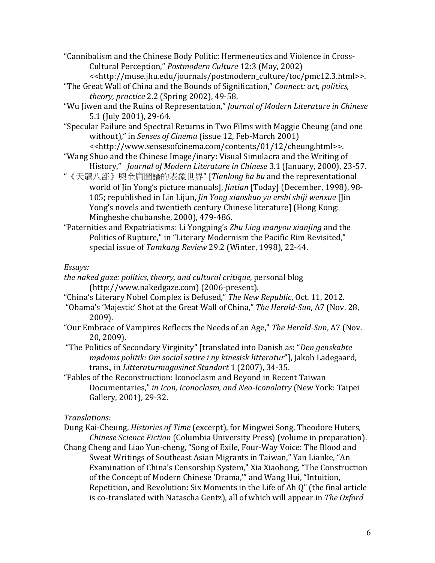"Cannibalism and the Chinese Body Politic: Hermeneutics and Violence in Cross-Cultural Perception," *Postmodern Culture* 12:3 (May, 2002) <<http://muse.jhu.edu/journals/postmodern\_culture/toc/pmc12.3.html>>.

"The Great Wall of China and the Bounds of Signification," *Connect: art, politics, theory, practice* 2.2 (Spring 2002), 49-58.

"Wu Iiwen and the Ruins of Representation," *Journal of Modern Literature in Chinese* 5.1 (July 2001), 29-64.

"Specular Failure and Spectral Returns in Two Films with Maggie Cheung (and one without)," in *Senses of Cinema* (issue 12, Feb-March 2001) <<http://www.sensesofcinema.com/contents/01/12/cheung.html>>.

"Wang Shuo and the Chinese Image/inary: Visual Simulacra and the Writing of History," *Journal of Modern Literature in Chinese* 3.1 (January, 2000), 23-57.

"《天龍八部》與金庸圖譜的表象世界" [*Tianlong ba bu* and the representational world of Jin Yong's picture manuals], *Jintian* [Today] (December, 1998), 98-105; republished in Lin Lijun, *Jin Yong xiaoshuo yu ershi shiji wenxue* [Jin Yong's novels and twentieth century Chinese literature] (Hong Kong: Mingheshe chubanshe, 2000), 479-486.

"Paternities and Expatriatisms: Li Yongping's *Zhu Ling manyou xianjing* and the Politics of Rupture," in "Literary Modernism the Pacific Rim Revisited," special issue of Tamkang Review 29.2 (Winter, 1998), 22-44.

### *Essays:*

- the naked gaze: politics, theory, and cultural critique, personal blog (http://www.nakedgaze.com) (2006-present).
- "China's Literary Nobel Complex is Defused," The New Republic, Oct. 11, 2012.
- "Obama's 'Majestic' Shot at the Great Wall of China," The Herald-Sun, A7 (Nov. 28, 2009).
- "Our Embrace of Vampires Reflects the Needs of an Age," The Herald-Sun, A7 (Nov. 20, 2009).

"The Politics of Secondary Virginity" [translated into Danish as: "*Den genskabte mødoms politik: Om social satire i ny kinesisk litteratur*"], Jakob Ladegaard, trans., in *Litteraturmagasinet Standart* 1 (2007), 34-35.

"Fables of the Reconstruction: Iconoclasm and Beyond in Recent Taiwan Documentaries," *in Icon, Iconoclasm, and Neo-Iconolatry* (New York: Taipei) Gallery, 2001), 29-32.

### *Translations:*

Dung Kai-Cheung, *Histories of Time* (excerpt), for Mingwei Song, Theodore Huters, *Chinese Science Fiction* (Columbia University Press) (volume in preparation).

Chang Cheng and Liao Yun-cheng, "Song of Exile, Four-Way Voice: The Blood and Sweat Writings of Southeast Asian Migrants in Taiwan," Yan Lianke, "An Examination of China's Censorship System," Xia Xiaohong, "The Construction of the Concept of Modern Chinese 'Drama," and Wang Hui, "Intuition, Repetition, and Revolution: Six Moments in the Life of Ah Q" (the final article is co-translated with Natascha Gentz), all of which will appear in *The Oxford*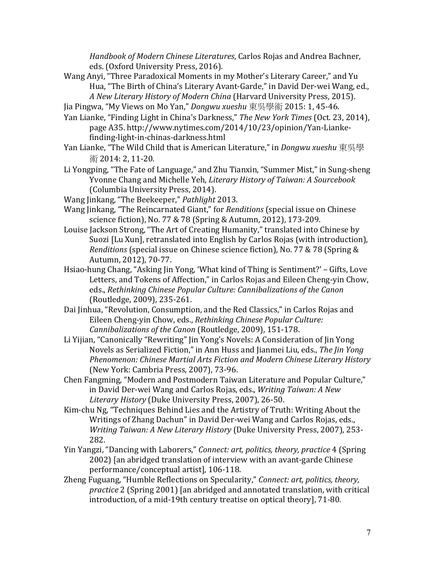*Handbook of Modern Chinese Literatures*, Carlos Rojas and Andrea Bachner, eds. (Oxford University Press, 2016).

Wang Anyi, "Three Paradoxical Moments in my Mother's Literary Career," and Yu Hua, "The Birth of China's Literary Avant-Garde," in David Der-wei Wang, ed., *A New Literary History of Modern China* (Harvard University Press, 2015). 

Jia Pingwa, "My Views on Mo Yan," *Dongwu xueshu* 東吳學術 2015: 1, 45-46.

- Yan Lianke, "Finding Light in China's Darkness," The New York Times (Oct. 23, 2014), page A35. http://www.nytimes.com/2014/10/23/opinion/Yan-Liankefinding-light-in-chinas-darkness.html
- Yan Lianke, "The Wild Child that is American Literature," in *Dongwu xueshu* 東吳學 術 2014: 2, 11-20.
- Li Yongping, "The Fate of Language," and Zhu Tianxin, "Summer Mist," in Sung-sheng Yvonne Chang and Michelle Yeh, *Literary History of Taiwan: A Sourcebook* (Columbia University Press, 2014).
- Wang Jinkang, "The Beekeeper," *Pathlight* 2013.
- Wang Jinkang, "The Reincarnated Giant," for *Renditions* (special issue on Chinese science fiction), No. 77 & 78 (Spring & Autumn, 2012), 173-209.
- Louise Jackson Strong, "The Art of Creating Humanity," translated into Chinese by Suozi [Lu Xun], retranslated into English by Carlos Rojas (with introduction), *Renditions* (special issue on Chinese science fiction), No. 77 & 78 (Spring & Autumn, 2012), 70-77.
- Hsiao-hung Chang, "Asking Jin Yong, 'What kind of Thing is Sentiment?' Gifts, Love Letters, and Tokens of Affection," in Carlos Rojas and Eileen Cheng-yin Chow, eds., Rethinking Chinese Popular Culture: Cannibalizations of the Canon (Routledge, 2009), 235-261.
- Dai Jinhua, "Revolution, Consumption, and the Red Classics," in Carlos Rojas and Eileen Cheng-yin Chow, eds., *Rethinking Chinese Popular Culture: Cannibalizations of the Canon* (Routledge, 2009), 151-178.
- Li Yijian, "Canonically "Rewriting" Jin Yong's Novels: A Consideration of Jin Yong Novels as Serialized Fiction," in Ann Huss and Jianmei Liu, eds., *The Jin Yong Phenomenon: Chinese Martial Arts Fiction and Modern Chinese Literary History* (New York: Cambria Press, 2007), 73-96.
- Chen Fangming, "Modern and Postmodern Taiwan Literature and Popular Culture," in David Der-wei Wang and Carlos Rojas, eds., *Writing Taiwan: A New Literary History* (Duke University Press, 2007), 26-50.
- Kim-chu Ng, "Techniques Behind Lies and the Artistry of Truth: Writing About the Writings of Zhang Dachun" in David Der-wei Wang and Carlos Rojas, eds., *Writing Taiwan: A New Literary History* (Duke University Press, 2007), 253-282.
- Yin Yangzi, "Dancing with Laborers," *Connect: art, politics, theory, practice* 4 (Spring 2002) [an abridged translation of interview with an avant-garde Chinese performance/conceptual artist], 106-118.
- Zheng Fuguang, "Humble Reflections on Specularity," *Connect: art, politics, theory, practice* 2 (Spring 2001) [an abridged and annotated translation, with critical introduction, of a mid-19th century treatise on optical theory], 71-80.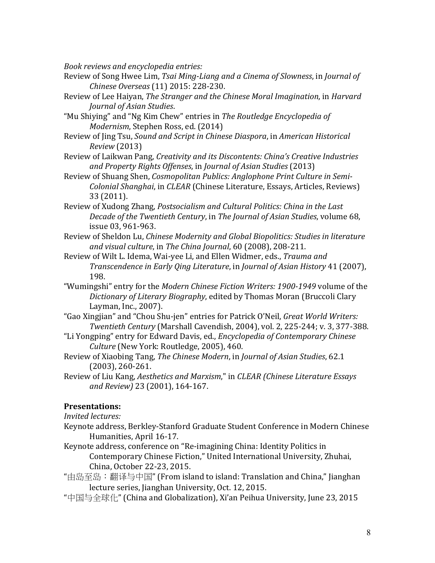*Book reviews and encyclopedia entries:*

- Review of Song Hwee Lim, *Tsai Ming-Liang and a Cinema of Slowness*, in *Journal of Chinese Overseas* (11) 2015: 228-230.
- Review of Lee Haiyan, *The Stranger and the Chinese Moral Imagination*, in *Harvard Journal of Asian Studies*.
- "Mu Shiying" and "Ng Kim Chew" entries in The Routledge Encyclopedia of *Modernism*, Stephen Ross, ed. (2014)
- Review of Jing Tsu, *Sound and Script in Chinese Diaspora*, in *American Historical Review* (2013)
- Review of Laikwan Pang, *Creativity and its Discontents: China's Creative Industries and Property Rights Offenses*, in *Journal of Asian Studies* (2013)
- Review of Shuang Shen, *Cosmopolitan Publics: Anglophone Print Culture in Semi-Colonial Shanghai, in CLEAR* (Chinese Literature, Essays, Articles, Reviews) 33 (2011).
- Review of Xudong Zhang, *Postsocialism and Cultural Politics: China in the Last Decade of the Twentieth Century*, in *The Journal of Asian Studies*, volume 68, issue 03, 961-963.
- Review of Sheldon Lu, *Chinese Modernity and Global Biopolitics: Studies in literature and visual culture*, in *The China Journal*, 60 (2008), 208-211.
- Review of Wilt L. Idema, Wai-yee Li, and Ellen Widmer, eds., *Trauma and Transcendence in Early Qing Literature,* in *Journal of Asian History* 41 (2007), 198.
- "Wumingshi" entry for the *Modern Chinese Fiction Writers: 1900-1949* volume of the *Dictionary of Literary Biography*, edited by Thomas Moran (Bruccoli Clary Layman, Inc., 2007).
- "Gao Xingjian" and "Chou Shu-jen" entries for Patrick O'Neil, *Great World Writers: Twentieth Century* (Marshall Cavendish, 2004), vol. 2, 225-244; v. 3, 377-388.
- "Li Yongping" entry for Edward Davis, ed., *Encyclopedia of Contemporary Chinese Culture* (New York: Routledge, 2005), 460.
- Review of Xiaobing Tang, *The Chinese Modern*, in *Journal of Asian Studies*, 62.1  $(2003)$ , 260-261.
- Review of Liu Kang, *Aesthetics and Marxism*," in *CLEAR (Chinese Literature Essays* and Review) 23 (2001), 164-167.

### **Presentations:**

*Invited lectures:* 

- Keynote address, Berkley-Stanford Graduate Student Conference in Modern Chinese Humanities, April 16-17.
- Keynote address, conference on "Re-imagining China: Identity Politics in Contemporary Chinese Fiction," United International University, Zhuhai, China, October 22-23, 2015.
- "由岛至岛:翻译与中国" (From island to island: Translation and China," Jianghan lecture series, Jianghan University, Oct. 12, 2015.
- "中国与全球化" (China and Globalization), Xi'an Peihua University, June 23, 2015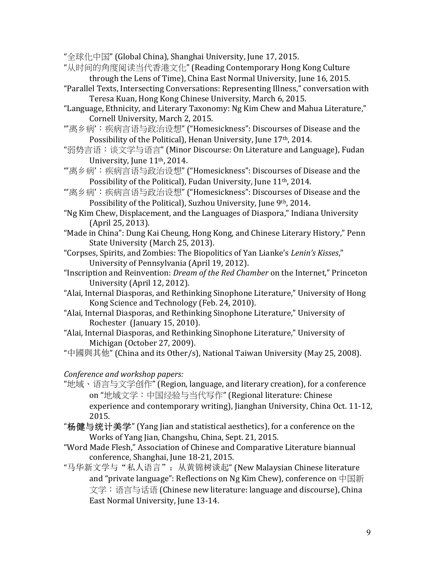"全球化中国" (Global China), Shanghai University, June 17, 2015.

- "从时间的角度阅读当代香港文化" (Reading Contemporary Hong Kong Culture through the Lens of Time), China East Normal University, June 16, 2015.
- "Parallel Texts, Intersecting Conversations: Representing Illness," conversation with Teresa Kuan, Hong Kong Chinese University, March 6, 2015.
- "Language, Ethnicity, and Literary Taxonomy: Ng Kim Chew and Mahua Literature," Cornell University, March 2, 2015.
- "'离乡病': 疾病言语与政治设想" ("Homesickness": Discourses of Disease and the Possibility of the Political), Henan University, June 17<sup>th</sup>, 2014.
- "弱势言语: 谈文学与语言" (Minor Discourse: On Literature and Language), Fudan University, June 11<sup>th</sup>, 2014.
- "'离乡病': 疾病言语与政治设想" ("Homesickness": Discourses of Disease and the Possibility of the Political), Fudan University, June 11<sup>th</sup>, 2014.
- "'离乡病': 疾病言语与政治设想" ("Homesickness": Discourses of Disease and the Possibility of the Political), Suzhou University, June 9th, 2014.
- "Ng Kim Chew, Displacement, and the Languages of Diaspora," Indiana University (April 25, 2013).
- "Made in China": Dung Kai Cheung, Hong Kong, and Chinese Literary History," Penn State University (March 25, 2013).
- "Corpses, Spirits, and Zombies: The Biopolitics of Yan Lianke's *Lenin's Kisses*," University of Pennsylvania (April 19, 2012).
- "Inscription and Reinvention: *Dream of the Red Chamber* on the Internet," Princeton University (April 12, 2012).
- "Alai, Internal Diasporas, and Rethinking Sinophone Literature," University of Hong Kong Science and Technology (Feb. 24, 2010).
- "Alai, Internal Diasporas, and Rethinking Sinophone Literature," University of Rochester (January 15, 2010).
- "Alai, Internal Diasporas, and Rethinking Sinophone Literature," University of Michigan (October 27, 2009).
- "中國與其他" (China and its Other/s), National Taiwan University (May 25, 2008).

# *Conference and workshop papers:*

- "地域、语言与文学创作" (Region, language, and literary creation), for a conference on "地域文学: 中国经验与当代写作" (Regional literature: Chinese experience and contemporary writing), Jianghan University, China Oct. 11-12, 2015.
- "杨健与统计美学" (Yang Jian and statistical aesthetics), for a conference on the Works of Yang Jian, Changshu, China, Sept. 21, 2015.
- "Word Made Flesh," Association of Chinese and Comparative Literature biannual conference, Shanghai, June 18-21, 2015.
- "马华新文学与"私人语言": 从黄锦树谈起" (New Malaysian Chinese literature and "private language": Reflections on Ng Kim Chew), conference on 中国新 文学: 语言与话语 (Chinese new literature: language and discourse), China East Normal University, June 13-14.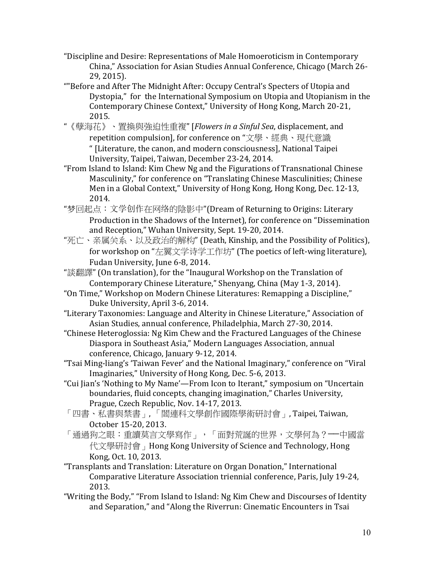- "Discipline and Desire: Representations of Male Homoeroticism in Contemporary China," Association for Asian Studies Annual Conference, Chicago (March 26-29, 2015).
- ""Before and After The Midnight After: Occupy Central's Specters of Utopia and Dystopia," for the International Symposium on Utopia and Utopianism in the Contemporary Chinese Context," University of Hong Kong, March 20-21, 2015.
- "《孽海花》、置換與強迫性重複" [Flowers in a Sinful Sea, displacement, and repetition compulsion], for conference on "文學、經典、現代意識 " [Literature, the canon, and modern consciousness], National Taipei University, Taipei, Taiwan, December 23-24, 2014.
- "From Island to Island: Kim Chew Ng and the Figurations of Transnational Chinese Masculinity," for conference on "Translating Chinese Masculinities; Chinese Men in a Global Context," University of Hong Kong, Hong Kong, Dec. 12-13, 2014.
- "梦回起点: 文学创作在网络的陰影中"(Dream of Returning to Origins: Literary Production in the Shadows of the Internet), for conference on "Dissemination and Reception," Wuhan University, Sept. 19-20, 2014.
- "死亡、亲属关系、以及政治的解构" (Death, Kinship, and the Possibility of Politics), for workshop on "左翼文学诗学工作坊" (The poetics of left-wing literature), Fudan University, June 6-8, 2014.
- "談翻譯" (On translation), for the "Inaugural Workshop on the Translation of Contemporary Chinese Literature," Shenyang, China (May 1-3, 2014).
- "On Time," Workshop on Modern Chinese Literatures: Remapping a Discipline," Duke University, April 3-6, 2014.
- "Literary Taxonomies: Language and Alterity in Chinese Literature," Association of Asian Studies, annual conference, Philadelphia, March 27-30, 2014.
- "Chinese Heteroglossia: Ng Kim Chew and the Fractured Languages of the Chinese Diaspora in Southeast Asia," Modern Languages Association, annual conference, Chicago, January 9-12, 2014.
- "Tsai Ming-liang's 'Taiwan Fever' and the National Imaginary," conference on "Viral Imaginaries," University of Hong Kong, Dec. 5-6, 2013.
- "Cui Jian's 'Nothing to My Name'—From Icon to Iterant," symposium on "Uncertain boundaries, fluid concepts, changing imagination," Charles University, Prague, Czech Republic, Nov. 14-17, 2013.
- 「四書、私書與禁書」,「閻連科文學創作國際學術研討會」, Taipei, Taiwan, October 15-20, 2013.
- 「通過狗之眼:重讀莫言文學寫作」,「面對荒誕的世界,文學何為?──中國當 代文學研討會, Hong Kong University of Science and Technology, Hong Kong, Oct. 10, 2013.
- "Transplants and Translation: Literature on Organ Donation," International Comparative Literature Association triennial conference, Paris, July 19-24, 2013.
- "Writing the Body," "From Island to Island: Ng Kim Chew and Discourses of Identity and Separation," and "Along the Riverrun: Cinematic Encounters in Tsai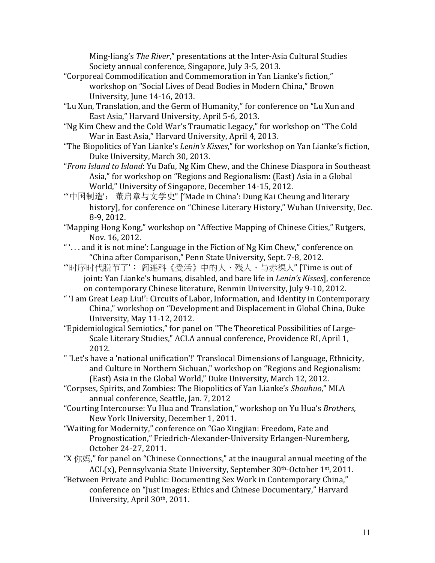Ming-liang's *The River*," presentations at the Inter-Asia Cultural Studies Society annual conference, Singapore, July 3-5, 2013.

- "Corporeal Commodification and Commemoration in Yan Lianke's fiction," workshop on "Social Lives of Dead Bodies in Modern China," Brown University, June 14-16, 2013.
- "Lu Xun. Translation, and the Germ of Humanity," for conference on "Lu Xun and East Asia," Harvard University, April 5-6, 2013.
- "Ng Kim Chew and the Cold War's Traumatic Legacy," for workshop on "The Cold War in East Asia," Harvard University, April 4, 2013.
- "The Biopolitics of Yan Lianke's *Lenin's Kisses*," for workshop on Yan Lianke's fiction, Duke University, March 30, 2013.
- "*From Island to Island*: Yu Dafu, Ng Kim Chew, and the Chinese Diaspora in Southeast Asia," for workshop on "Regions and Regionalism: (East) Asia in a Global World," University of Singapore, December 14-15, 2012.
- "'中国制造': 董启章与文学史" ['Made in China': Dung Kai Cheung and literary history], for conference on "Chinese Literary History," Wuhan University, Dec. 8-9, 2012.
- "Mapping Hong Kong," workshop on "Affective Mapping of Chinese Cities," Rutgers, Nov. 16, 2012.
- " $\ldots$  and it is not mine': Language in the Fiction of Ng Kim Chew," conference on "China after Comparison," Penn State University, Sept. 7-8, 2012.
- "'时序时代脱节了': 阎连科《受活》中的人、残人、与赤裸人" $\Gamma$ Time is out of joint: Yan Lianke's humans, disabled, and bare life in *Lenin's Kisses*], conference on contemporary Chinese literature, Renmin University, July 9-10, 2012.
- " 'I am Great Leap Liu!': Circuits of Labor, Information, and Identity in Contemporary China," workshop on "Development and Displacement in Global China, Duke University, May 11-12, 2012.
- "Epidemiological Semiotics," for panel on "The Theoretical Possibilities of Large-Scale Literary Studies," ACLA annual conference, Providence RI, April 1, 2012.
- " 'Let's have a 'national unification'!' Translocal Dimensions of Language, Ethnicity, and Culture in Northern Sichuan," workshop on "Regions and Regionalism: (East) Asia in the Global World," Duke University, March 12, 2012.
- "Corpses, Spirits, and Zombies: The Biopolitics of Yan Lianke's Shouhuo," MLA annual conference, Seattle, Jan. 7, 2012
- "Courting Intercourse: Yu Hua and Translation," workshop on Yu Hua's Brothers, New York University, December 1, 2011.
- "Waiting for Modernity," conference on "Gao Xingjian: Freedom, Fate and Prognostication," Friedrich-Alexander-University Erlangen-Nuremberg, October 24-27, 2011.
- "X  $\langle \nabla \psi | \nabla \psi |$ " for panel on "Chinese Connections," at the inaugural annual meeting of the  $ACL(x)$ , Pennsylvania State University, September  $30<sup>th</sup>$ -October 1<sup>st</sup>, 2011.
- "Between Private and Public: Documenting Sex Work in Contemporary China," conference on "Just Images: Ethics and Chinese Documentary," Harvard University, April 30<sup>th</sup>, 2011.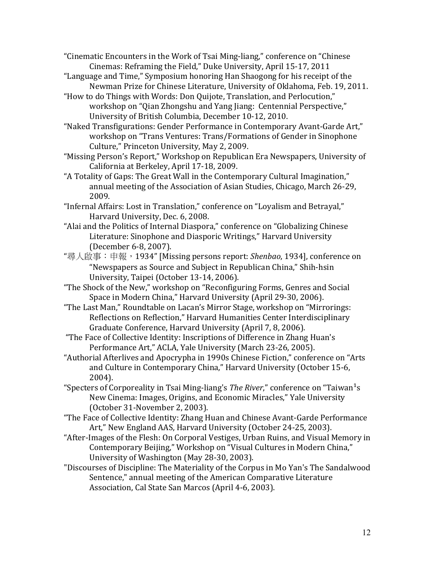"Cinematic Encounters in the Work of Tsai Ming-liang," conference on "Chinese Cinemas: Reframing the Field," Duke University, April 15-17, 2011

- "Language and Time," Symposium honoring Han Shaogong for his receipt of the Newman Prize for Chinese Literature, University of Oklahoma, Feb. 19, 2011.
- "How to do Things with Words: Don Quijote, Translation, and Perlocution," workshop on "Oian Zhongshu and Yang Jiang: Centennial Perspective." University of British Columbia, December 10-12, 2010.

"Naked Transfigurations: Gender Performance in Contemporary Avant-Garde Art," workshop on "Trans Ventures: Trans/Formations of Gender in Sinophone Culture," Princeton University, May 2, 2009.

"Missing Person's Report," Workshop on Republican Era Newspapers, University of California at Berkeley, April 17-18, 2009.

"A Totality of Gaps: The Great Wall in the Contemporary Cultural Imagination," annual meeting of the Association of Asian Studies, Chicago, March 26-29, 2009. 

"Infernal Affairs: Lost in Translation," conference on "Loyalism and Betrayal," Harvard University, Dec. 6, 2008.

- "Alai and the Politics of Internal Diaspora," conference on "Globalizing Chinese Literature: Sinophone and Diasporic Writings," Harvard University (December 6-8, 2007).
- "尋人啟事: 申報,1934" [Missing persons report: *Shenbao*, 1934], conference on "Newspapers as Source and Subject in Republican China," Shih-hsin University, Taipei (October 13-14, 2006).
- "The Shock of the New," workshop on "Reconfiguring Forms, Genres and Social Space in Modern China," Harvard University (April 29-30, 2006).

"The Last Man," Roundtable on Lacan's Mirror Stage, workshop on "Mirrorings: Reflections on Reflection," Harvard Humanities Center Interdisciplinary Graduate Conference, Harvard University (April 7, 8, 2006).

"The Face of Collective Identity: Inscriptions of Difference in Zhang Huan's Performance Art," ACLA, Yale University (March 23-26, 2005).

- "Authorial Afterlives and Apocrypha in 1990s Chinese Fiction," conference on "Arts and Culture in Contemporary China," Harvard University (October 15-6, 2004).
- "Specters of Corporeality in Tsai Ming-liang's *The River*," conference on "Taiwan<sup>1</sup>s New Cinema: Images, Origins, and Economic Miracles," Yale University (October 31-November 2, 2003).

"The Face of Collective Identity: Zhang Huan and Chinese Avant-Garde Performance Art," New England AAS, Harvard University (October 24-25, 2003).

- "After-Images of the Flesh: On Corporal Vestiges, Urban Ruins, and Visual Memory in Contemporary Beijing," Workshop on "Visual Cultures in Modern China," University of Washington (May 28-30, 2003).
- "Discourses of Discipline: The Materiality of the Corpus in Mo Yan's The Sandalwood Sentence," annual meeting of the American Comparative Literature Association, Cal State San Marcos (April 4-6, 2003).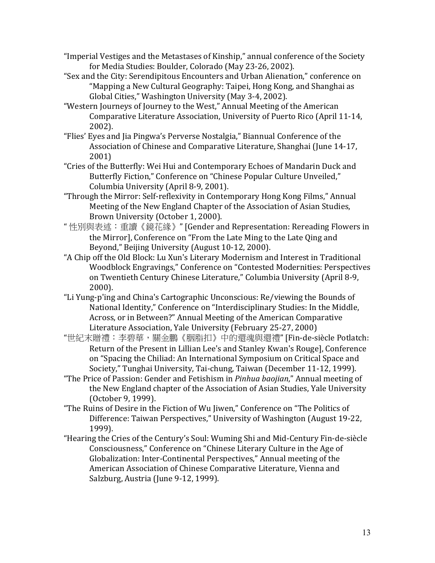- "Imperial Vestiges and the Metastases of Kinship," annual conference of the Society for Media Studies: Boulder, Colorado (May 23-26, 2002).
- "Sex and the City: Serendipitous Encounters and Urban Alienation," conference on "Mapping a New Cultural Geography: Taipei, Hong Kong, and Shanghai as Global Cities," Washington University (May 3-4, 2002).
- "Western Journeys of Journey to the West," Annual Meeting of the American Comparative Literature Association, University of Puerto Rico (April 11-14, 2002).
- "Flies' Eyes and Jia Pingwa's Perverse Nostalgia," Biannual Conference of the Association of Chinese and Comparative Literature, Shanghai (June 14-17, 2001)
- "Cries of the Butterfly: Wei Hui and Contemporary Echoes of Mandarin Duck and Butterfly Fiction," Conference on "Chinese Popular Culture Unveiled," Columbia University (April 8-9, 2001).
- "Through the Mirror: Self-reflexivity in Contemporary Hong Kong Films," Annual Meeting of the New England Chapter of the Association of Asian Studies, Brown University (October 1, 2000).
- "性別與表述:重讀《鏡花緣》" [Gender and Representation: Rereading Flowers in the Mirror], Conference on "From the Late Ming to the Late Qing and Beyond," Beijing University (August 10-12, 2000).
- "A Chip off the Old Block: Lu Xun's Literary Modernism and Interest in Traditional Woodblock Engravings," Conference on "Contested Modernities: Perspectives on Twentieth Century Chinese Literature," Columbia University (April 8-9, 2000).
- "Li Yung-p'ing and China's Cartographic Unconscious: Re/viewing the Bounds of National Identity," Conference on "Interdisciplinary Studies: In the Middle, Across, or in Between?" Annual Meeting of the American Comparative Literature Association, Yale University (February 25-27, 2000)
- "世紀末贈禮:李碧華,關金鵬《胭脂扣》中的還魂與還禮" [Fin-de-siècle Potlatch: Return of the Present in Lillian Lee's and Stanley Kwan's Rouge], Conference on "Spacing the Chiliad: An International Symposium on Critical Space and Society," Tunghai University, Tai-chung, Taiwan (December 11-12, 1999).
- "The Price of Passion: Gender and Fetishism in *Pinhua baojian*," Annual meeting of the New England chapter of the Association of Asian Studies, Yale University (October 9, 1999).
- "The Ruins of Desire in the Fiction of Wu Jiwen," Conference on "The Politics of Difference: Taiwan Perspectives," University of Washington (August 19-22, 1999).
- "Hearing the Cries of the Century's Soul: Wuming Shi and Mid-Century Fin-de-siècle Consciousness," Conference on "Chinese Literary Culture in the Age of Globalization: Inter-Continental Perspectives," Annual meeting of the American Association of Chinese Comparative Literature, Vienna and Salzburg, Austria (June 9-12, 1999).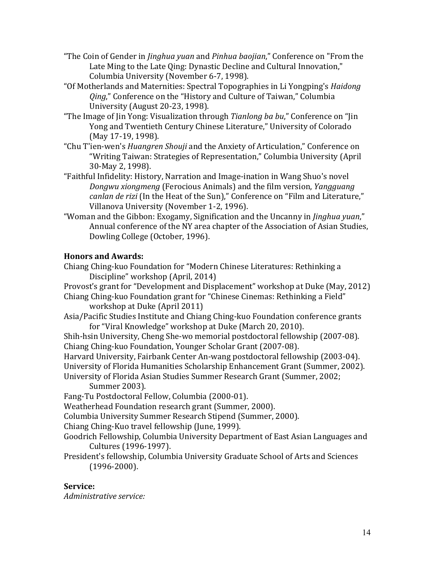- "The Coin of Gender in *Jinghua yuan* and *Pinhua baojian*," Conference on "From the Late Ming to the Late Qing: Dynastic Decline and Cultural Innovation," Columbia University (November 6-7, 1998).
- "Of Motherlands and Maternities: Spectral Topographies in Li Yongping's *Haidong Qing*," Conference on the "History and Culture of Taiwan," Columbia University (August 20-23, 1998).
- "The Image of Jin Yong: Visualization through *Tianlong ba bu*," Conference on "Jin Yong and Twentieth Century Chinese Literature," University of Colorado (May 17-19, 1998).
- "Chu T'ien-wen's *Huangren Shouji* and the Anxiety of Articulation," Conference on "Writing Taiwan: Strategies of Representation," Columbia University (April 30-May 2, 1998).
- "Faithful Infidelity: History, Narration and Image-ination in Wang Shuo's novel *Dongwu xiongmeng* (Ferocious Animals) and the film version, *Yangguang canlan de rizi* (In the Heat of the Sun)," Conference on "Film and Literature," Villanova University (November 1-2, 1996).
- "Woman and the Gibbon: Exogamy, Signification and the Uncanny in *Jinghua yuan*," Annual conference of the NY area chapter of the Association of Asian Studies, Dowling College (October, 1996).

# **Honors and Awards:**

Chiang Ching-kuo Foundation for "Modern Chinese Literatures: Rethinking a Discipline" workshop (April, 2014)

Provost's grant for "Development and Displacement" workshop at Duke (May, 2012)

Chiang Ching-kuo Foundation grant for "Chinese Cinemas: Rethinking a Field" workshop at Duke (April 2011)

Asia/Pacific Studies Institute and Chiang Ching-kuo Foundation conference grants for "Viral Knowledge" workshop at Duke (March 20, 2010).

Shih-hsin University, Cheng She-wo memorial postdoctoral fellowship (2007-08). Chiang Ching-kuo Foundation, Younger Scholar Grant (2007-08).

Harvard University, Fairbank Center An-wang postdoctoral fellowship (2003-04).

University of Florida Humanities Scholarship Enhancement Grant (Summer, 2002).

University of Florida Asian Studies Summer Research Grant (Summer, 2002;

# Summer 2003).

Fang-Tu Postdoctoral Fellow, Columbia (2000-01).

Weatherhead Foundation research grant (Summer, 2000).

Columbia University Summer Research Stipend (Summer, 2000).

Chiang Ching-Kuo travel fellowship (June, 1999).

- Goodrich Fellowship, Columbia University Department of East Asian Languages and Cultures (1996-1997).
- President's fellowship, Columbia University Graduate School of Arts and Sciences (1996-2000).

# **Service:**

*Administrative service:*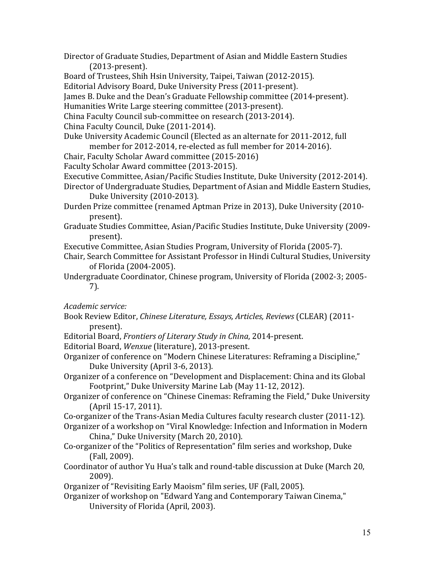Director of Graduate Studies, Department of Asian and Middle Eastern Studies (2013-present). 

Board of Trustees, Shih Hsin University, Taipei, Taiwan (2012-2015).

Editorial Advisory Board, Duke University Press (2011-present).

James B. Duke and the Dean's Graduate Fellowship committee (2014-present).

Humanities Write Large steering committee (2013-present).

China Faculty Council sub-committee on research (2013-2014).

China Faculty Council, Duke (2011-2014).

Duke University Academic Council (Elected as an alternate for 2011-2012, full member for 2012-2014, re-elected as full member for 2014-2016).

Chair, Faculty Scholar Award committee (2015-2016)

Faculty Scholar Award committee (2013-2015).

Executive Committee, Asian/Pacific Studies Institute, Duke University (2012-2014).

Director of Undergraduate Studies, Department of Asian and Middle Eastern Studies, Duke University (2010-2013).

Durden Prize committee (renamed Aptman Prize in 2013), Duke University (2010present). 

Graduate Studies Committee, Asian/Pacific Studies Institute, Duke University (2009present). 

Executive Committee, Asian Studies Program, University of Florida (2005-7).

Chair, Search Committee for Assistant Professor in Hindi Cultural Studies, University of Florida (2004-2005).

Undergraduate Coordinator, Chinese program, University of Florida (2002-3; 2005-7). 

*Academic service:*

- Book Review Editor, *Chinese Literature, Essays, Articles, Reviews* (CLEAR) (2011present).
- Editorial Board, *Frontiers of Literary Study in China*, 2014-present.
- Editorial Board, Wenxue (literature), 2013-present.
- Organizer of conference on "Modern Chinese Literatures: Reframing a Discipline," Duke University (April 3-6, 2013).
- Organizer of a conference on "Development and Displacement: China and its Global Footprint," Duke University Marine Lab (May 11-12, 2012).
- Organizer of conference on "Chinese Cinemas: Reframing the Field," Duke University (April 15-17, 2011).

Co-organizer of the Trans-Asian Media Cultures faculty research cluster (2011-12).

- Organizer of a workshop on "Viral Knowledge: Infection and Information in Modern China," Duke University (March 20, 2010).
- Co-organizer of the "Politics of Representation" film series and workshop, Duke (Fall, 2009).

Coordinator of author Yu Hua's talk and round-table discussion at Duke (March 20, 2009).

Organizer of "Revisiting Early Maoism" film series, UF (Fall, 2005).

Organizer of workshop on "Edward Yang and Contemporary Taiwan Cinema," University of Florida (April, 2003).